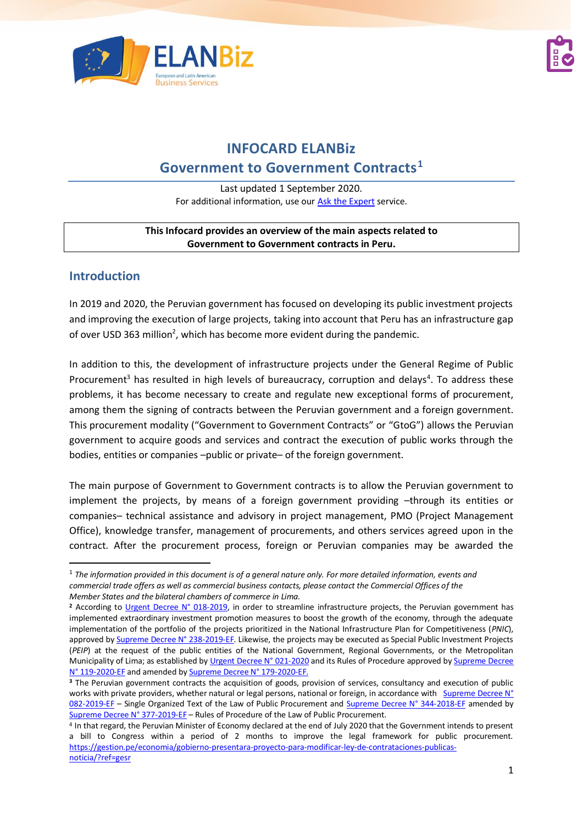



# **INFOCARD ELANBiz**

**Government to Government Contracts<sup>1</sup>**

Last updated 1 September 2020. For additional information, use our **[Ask the Expert](http://bit.ly/2fQNCnJ)** service.

### **This Infocard provides an overview of the main aspects related to Government to Government contracts in Peru.**

### **Introduction**

In 2019 and 2020, the Peruvian government has focused on developing its public investment projects and improving the execution of large projects, taking into account that Peru has an infrastructure gap of over USD 363 million<sup>2</sup>, which has become more evident during the pandemic.

In addition to this, the development of infrastructure projects under the General Regime of Public Procurement<sup>3</sup> has resulted in high levels of bureaucracy, corruption and delays<sup>4</sup>. To address these problems, it has become necessary to create and regulate new exceptional forms of procurement, among them the signing of contracts between the Peruvian government and a foreign government. This procurement modality ("Government to Government Contracts" or "GtoG") allows the Peruvian government to acquire goods and services and contract the execution of public works through the bodies, entities or companies –public or private– of the foreign government.

The main purpose of Government to Government contracts is to allow the Peruvian government to implement the projects, by means of a foreign government providing –through its entities or companies– technical assistance and advisory in project management, PMO (Project Management Office), knowledge transfer, management of procurements, and others services agreed upon in the contract. After the procurement process, foreign or Peruvian companies may be awarded the

<sup>1</sup> *The information provided in this document is of a general nature only. For more detailed information, events and commercial trade offers as well as commercial business contacts, please contact the Commercial Offices of the Member States and the bilateral chambers of commerce in Lima.*

**<sup>2</sup>** According to [Urgent Decree N° 018-2019,](https://busquedas.elperuano.pe/normaslegales/decreto-de-urgencia-que-establece-medidas-extraordinarias-pa-decreto-de-urgencia-n-018-2019-1831447-1/) in order to streamline infrastructure projects, the Peruvian government has implemented extraordinary investment promotion measures to boost the growth of the economy, through the adequate implementation of the portfolio of the projects prioritized in the National Infrastructure Plan for Competitiveness (*PNIC*), approved by [Supreme Decree N° 238-2019-EF.](https://cdn.www.gob.pe/uploads/document/file/348761/DS238_2019EF.pdf) Likewise, the projects may be executed as Special Public Investment Projects (*PEIP*) at the request of the public entities of the National Government, Regional Governments, or the Metropolitan Municipality of Lima; as established b[y Urgent Decree N° 021-2020](https://busquedas.elperuano.pe/download/url/aprueban-reglamento-de-proyectos-especiales-de-inversion-pub-decreto-supremo-n-119-2020-ef-1866706-2) and its Rules of Procedure approved by Supreme Decree [N° 119-2020-EF](https://cdn.www.gob.pe/uploads/document/file/730625/DS119_2020EF.pdf) and amended b[y Supreme Decree N° 179-2020-EF.](https://cdn.www.gob.pe/uploads/document/file/959476/DS179_2020EF.pdf)

**<sup>3</sup>** The Peruvian government contracts the acquisition of goods, provision of services, consultancy and execution of public works with private providers, whether natural or legal persons, national or foreign, in accordance with Supreme Decree N° [082-2019-EF](https://portal.osce.gob.pe/osce/sites/default/files/Documentos/legislacion/ley/2018_DL1444/TUO_ley-30225-DS-082-2019-EF.pdf) - Single Organized Text of the Law of Public Procurement and [Supreme Decree N° 344-2018-EF](https://portal.osce.gob.pe/osce/sites/default/files/Documentos/legislacion/ley/2018_DL1444/DS%20344-2018-EF%20Reglamento%20de%20la%20Ley%20N%C2%B0%2030225.pdf) amended by [Supreme Decree N° 377-2019-EF](https://portal.osce.gob.pe/osce/sites/default/files/Documentos/legislacion/ley/2019-modif-Regl30225/modifican-el-reglamento-de-la-ley-n-30225-ley-de-contratac-decreto-supremo-n-377-2019-ef-1837283-2.pdf) - Rules of Procedure of the Law of Public Procurement.

<sup>4</sup> In that regard, the Peruvian Minister of Economy declared at the end of July 2020 that the Government intends to present a bill to Congress within a period of 2 months to improve the legal framework for public procurement. [https://gestion.pe/economia/gobierno-presentara-proyecto-para-modificar-ley-de-contrataciones-publicas](https://gestion.pe/economia/gobierno-presentara-proyecto-para-modificar-ley-de-contrataciones-publicas-noticia/?ref=gesr)[noticia/?ref=gesr](https://gestion.pe/economia/gobierno-presentara-proyecto-para-modificar-ley-de-contrataciones-publicas-noticia/?ref=gesr)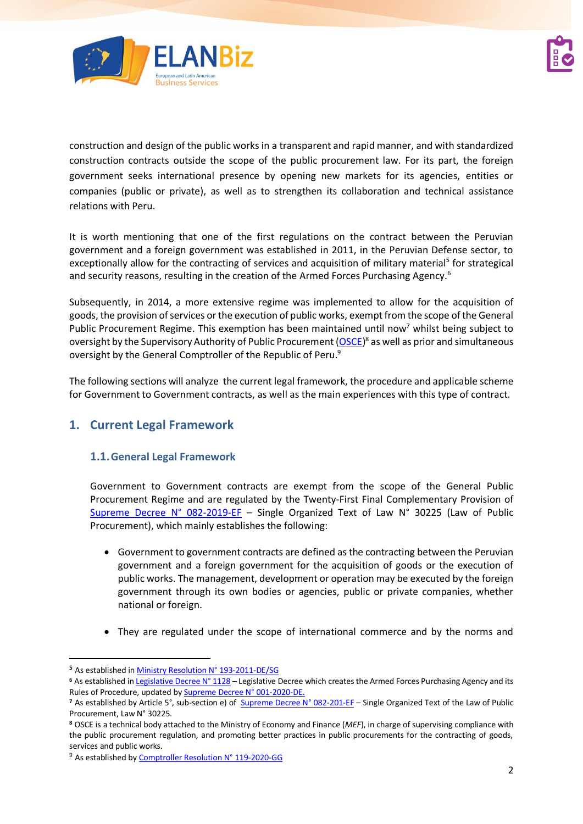

construction and design of the public works in a transparent and rapid manner, and with standardized construction contracts outside the scope of the public procurement law. For its part, the foreign government seeks international presence by opening new markets for its agencies, entities or companies (public or private), as well as to strengthen its collaboration and technical assistance relations with Peru.

It is worth mentioning that one of the first regulations on the contract between the Peruvian government and a foreign government was established in 2011, in the Peruvian Defense sector, to exceptionally allow for the contracting of services and acquisition of military material<sup>5</sup> for strategical and security reasons, resulting in the creation of the Armed Forces Purchasing Agency.<sup>6</sup>

Subsequently, in 2014, a more extensive regime was implemented to allow for the acquisition of goods, the provision of services or the execution of public works, exempt from the scope of the General Public Procurement Regime. This exemption has been maintained until now<sup>7</sup> whilst being subject to oversight by the Supervisory Authority of Public Procurement [\(OSCE\)](https://portal.osce.gob.pe/osce/content/vision-mision-y-principios)<sup>8</sup> as well as prior and simultaneous oversight by the General Comptroller of the Republic of Peru.<sup>9</sup>

The following sections will analyze the current legal framework, the procedure and applicable scheme for Government to Government contracts, as well as the main experiences with this type of contract.

### **1. Current Legal Framework**

### **1.1.General Legal Framework**

Government to Government contracts are exempt from the scope of the General Public Procurement Regime and are regulated by the Twenty-First Final Complementary Provision of [Supreme Decree](https://portal.osce.gob.pe/osce/sites/default/files/Documentos/legislacion/ley/2018_DL1444/TUO_ley-30225-DS-082-2019-EF.pdf) N° 082-2019-EF – Single Organized Text of Law N° 30225 (Law of Public Procurement), which mainly establishes the following:

- Government to government contracts are defined as the contracting between the Peruvian government and a foreign government for the acquisition of goods or the execution of public works. The management, development or operation may be executed by the foreign government through its own bodies or agencies, public or private companies, whether national or foreign.
- They are regulated under the scope of international commerce and by the norms and

**<sup>5</sup>** As established i[n Ministry Resolution N° 193-2011-DE/SG](https://cdn.www.gob.pe/uploads/document/file/181646/182434_DG_002_2011_MINDEF_SG_VRD.pdf20180807-3081-dn348r.pdf)

**<sup>6</sup>** As established i[n Legislative Decree N° 1128](http://www.leyes.congreso.gob.pe/Documentos/DecretosLegislativos/01128.pdf) – Legislative Decree which creates the Armed Forces Purchasing Agency and its Rules of Procedure, updated b[y Supreme Decree N° 001-2020-DE.](https://busquedas.elperuano.pe/normaslegales/reglamento-del-decreto-legislativo-n-1128-que-crea-la-agen-decreto-supremo-n-001-2020-de-1853466-3/)

**<sup>7</sup>** As established by Article 5°, sub-section e) of [Supreme Decree N° 082-201-EF](https://portal.osce.gob.pe/osce/sites/default/files/Documentos/legislacion/ley/2018_DL1444/TUO_ley-30225-DS-082-2019-EF.pdf) – Single Organized Text of the Law of Public Procurement, Law N° 30225.

**<sup>8</sup>** OSCE is a technical body attached to the Ministry of Economy and Finance (*MEF*), in charge of supervising compliance with the public procurement regulation, and promoting better practices in public procurements for the contracting of goods, services and public works.

 $9$  As established b[y Comptroller Resolution N° 119-2020-GG](https://www.contraloria.gob.pe/wps/wcm/connect/3fe12b9d-b346-4187-a211-e083ef4ea980/RC_119-2020-CG.pdf?MOD=AJPERES&CACHEID=3fe12b9d-b346-4187-a211-e083ef4ea980)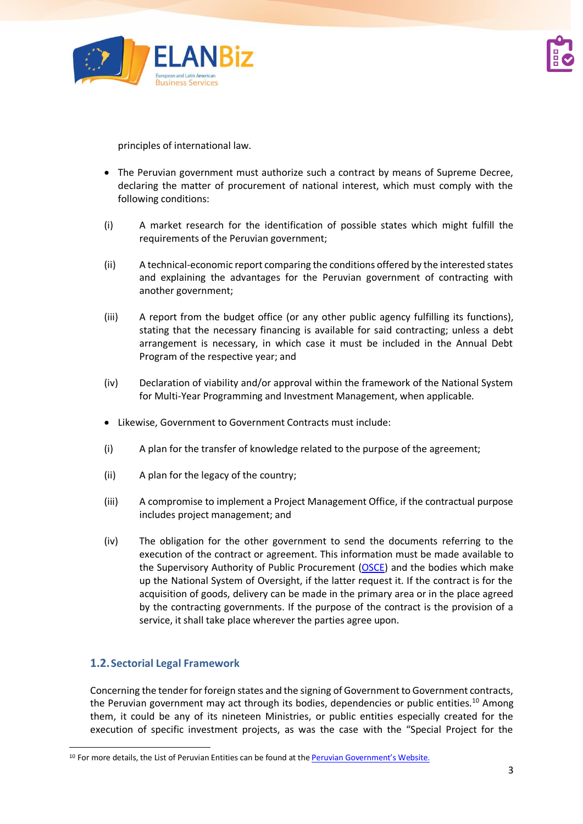

principles of international law.

- The Peruvian government must authorize such a contract by means of Supreme Decree, declaring the matter of procurement of national interest, which must comply with the following conditions:
- (i) A market research for the identification of possible states which might fulfill the requirements of the Peruvian government;
- (ii) A technical-economic report comparing the conditions offered by the interested states and explaining the advantages for the Peruvian government of contracting with another government;
- (iii) A report from the budget office (or any other public agency fulfilling its functions), stating that the necessary financing is available for said contracting; unless a debt arrangement is necessary, in which case it must be included in the Annual Debt Program of the respective year; and
- (iv) Declaration of viability and/or approval within the framework of the National System for Multi-Year Programming and Investment Management, when applicable.
- Likewise, Government to Government Contracts must include:
- (i) A plan for the transfer of knowledge related to the purpose of the agreement;
- (ii) A plan for the legacy of the country;
- (iii) A compromise to implement a Project Management Office, if the contractual purpose includes project management; and
- (iv) The obligation for the other government to send the documents referring to the execution of the contract or agreement. This information must be made available to the Supervisory Authority of Public Procurement [\(OSCE\)](https://portal.osce.gob.pe/osce/content/vision-mision-y-principios) and the bodies which make up the National System of Oversight, if the latter request it. If the contract is for the acquisition of goods, delivery can be made in the primary area or in the place agreed by the contracting governments. If the purpose of the contract is the provision of a service, it shall take place wherever the parties agree upon.

### **1.2.Sectorial Legal Framework**

Concerning the tender for foreign states and the signing of Government to Government contracts, the Peruvian government may act through its bodies, dependencies or public entities.<sup>10</sup> Among them, it could be any of its nineteen Ministries, or public entities especially created for the execution of specific investment projects, as was the case with the "Special Project for the

<sup>&</sup>lt;sup>10</sup> For more details, the List of Peruvian Entities can be found at the [Peruvian Government's Website.](https://www.peru.gob.pe/directorio/pep_directorio_poderes.asp?cod_poder=3)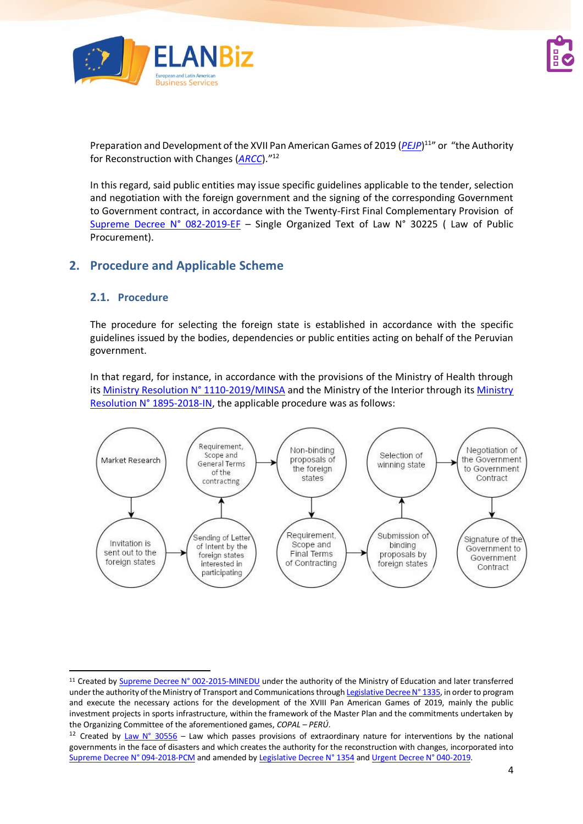

Preparation and Development of the XVII Pan American Games of 2019 ([PEJP](https://www.lima2019.pe/))<sup>11</sup>" or "the Authority for Reconstruction with Changes (*[ARCC](http://www.rcc.gob.pe/)*)."<sup>12</sup>

In this regard, said public entities may issue specific guidelines applicable to the tender, selection and negotiation with the foreign government and the signing of the corresponding Government to Government contract, in accordance with the Twenty-First Final Complementary Provision of [Supreme Decree](https://portal.osce.gob.pe/osce/sites/default/files/Documentos/legislacion/ley/2018_DL1444/TUO_ley-30225-DS-082-2019-EF.pdf) N° 082-2019-EF – Single Organized Text of Law N° 30225 ( Law of Public Procurement).

### **2. Procedure and Applicable Scheme**

#### **2.1. Procedure**

The procedure for selecting the foreign state is established in accordance with the specific guidelines issued by the bodies, dependencies or public entities acting on behalf of the Peruvian government.

In that regard, for instance, in accordance with the provisions of the Ministry of Health through its Ministry Resolution [N° 1110-2019/MINSA](https://cdn.www.gob.pe/uploads/document/file/436784/resolucion-ministerial-n-1110-2019-minsa.PDF) and the Ministry of the Interior through its [Ministry](https://www.mininter.gob.pe/sites/default/files/1895-2018-IN%20%28Aprobar%20la%20Diectiva%20N%C2%B0%2005-2018-IN-OGAF%20Procedimientos%20para%20las%20Contrataciones%20del%20Sector%20Interior%20bajo%20la%20modalidad%20de%20Estado%20a%20Estado%29.pdf)  Resolution [N° 1895-2018-IN,](https://www.mininter.gob.pe/sites/default/files/1895-2018-IN%20%28Aprobar%20la%20Diectiva%20N%C2%B0%2005-2018-IN-OGAF%20Procedimientos%20para%20las%20Contrataciones%20del%20Sector%20Interior%20bajo%20la%20modalidad%20de%20Estado%20a%20Estado%29.pdf) the applicable procedure was as follows:



<sup>&</sup>lt;sup>11</sup> Created b[y Supreme Decree N° 002-2015-MINEDU](https://d2b6fq5uasfai5.cloudfront.net/multimedia/ds0022015minedu.pdf) under the authority of the Ministry of Education and later transferred under the authority of the Ministry of Transport and Communications throug[h Legislative Decree N° 1335,](https://d2b6fq5uasfai5.cloudfront.net/multimedia/dl1335-1.pdf) in order to program and execute the necessary actions for the development of the XVIII Pan American Games of 2019, mainly the public investment projects in sports infrastructure, within the framework of the Master Plan and the commitments undertaken by the Organizing Committee of the aforementioned games, *COPAL – PERÚ*.

<sup>&</sup>lt;sup>12</sup> Created by [Law N° 30556](https://busquedas.elperuano.pe/normaslegales/ley-que-aprueba-disposiciones-de-caracter-extraordinario-par-ley-n-30556-1514994-1/) – Law which passes provisions of extraordinary nature for interventions by the national governments in the face of disasters and which creates the authority for the reconstruction with changes, incorporated into [Supreme Decree N° 094-2018-PCM](https://cdn.www.gob.pe/uploads/document/file/392844/Decreto_Supremo_N__094-2018-PCM.pdf) and amended b[y Legislative Decree N° 1354](file:///C:/Users/USUARIO/Downloads/3.-Decreto-Legislativo-1354.pdf) an[d Urgent Decree N° 040-2019.](https://busquedas.elperuano.pe/normaslegales/decreto-de-urgencia-que-establece-medidas-extraordinarias-pa-decreto-de-urgencia-n-040-2019-1841290-1/)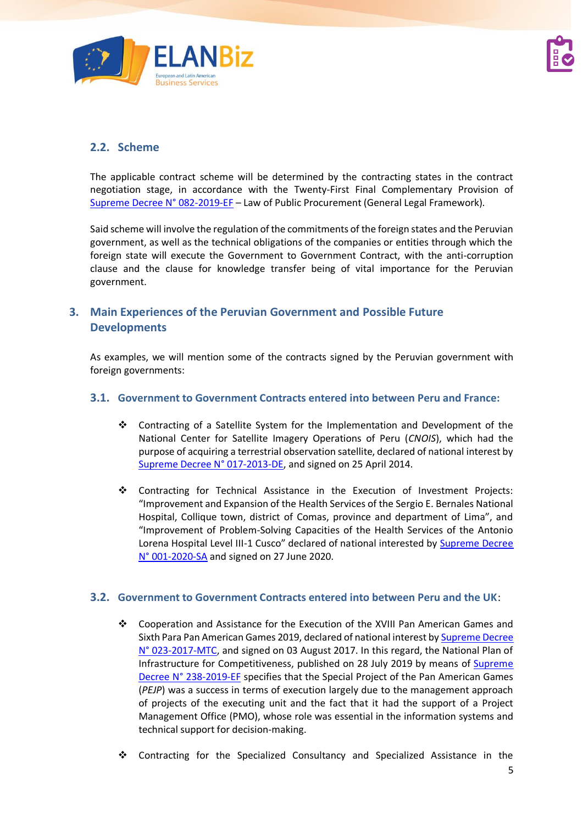



### **2.2. Scheme**

The applicable contract scheme will be determined by the contracting states in the contract negotiation stage, in accordance with the Twenty-First Final Complementary Provision of [Supreme Decree](https://portal.osce.gob.pe/osce/sites/default/files/Documentos/legislacion/ley/2018_DL1444/TUO_ley-30225-DS-082-2019-EF.pdf) N° 082-2019-EF - Law of Public Procurement (General Legal Framework).

Said scheme will involve the regulation of the commitments of the foreign states and the Peruvian government, as well as the technical obligations of the companies or entities through which the foreign state will execute the Government to Government Contract, with the anti-corruption clause and the clause for knowledge transfer being of vital importance for the Peruvian government.

### **3. Main Experiences of the Peruvian Government and Possible Future Developments**

As examples, we will mention some of the contracts signed by the Peruvian government with foreign governments:

#### **3.1. Government to Government Contracts entered into between Peru and France:**

- ❖ Contracting of a Satellite System for the Implementation and Development of the National Center for Satellite Imagery Operations of Peru (*CNOIS*), which had the purpose of acquiring a terrestrial observation satellite, declared of national interest by [Supreme Decree N° 017-2013-DE,](https://busquedas.elperuano.pe/normaslegales/declaran-de-interes-nacional-el-objeto-del-proceso-de-contra-decreto-supremo-n-017-2013-de-1028112-5/) and signed on 25 April 2014.
- ❖ Contracting for Technical Assistance in the Execution of Investment Projects: "Improvement and Expansion of the Health Services of the Sergio E. Bernales National Hospital, Collique town, district of Comas, province and department of Lima", and "Improvement of Problem-Solving Capacities of the Health Services of the Antonio Lorena Hospital Level III-1 Cusco" declared of national interested by [Supreme Decree](https://cdn.www.gob.pe/uploads/document/file/477860/Decreto_Supremo_001-2020-SA.PDF)  [N° 001-2020-SA](https://cdn.www.gob.pe/uploads/document/file/477860/Decreto_Supremo_001-2020-SA.PDF) and signed on 27 June 2020.

#### **3.2. Government to Government Contracts entered into between Peru and the UK**:

- ❖ Cooperation and Assistance for the Execution of the XVIII Pan American Games and Sixth Para Pan American Games 2019, declared of national interest b[y Supreme Decree](https://cdn.www.gob.pe/uploads/document/file/19110/DS_023-2017-MTC.pdf) [N° 023-2017-MTC,](https://cdn.www.gob.pe/uploads/document/file/19110/DS_023-2017-MTC.pdf) and signed on 03 August 2017. In this regard, the National Plan of Infrastructure for Competitiveness, published on 28 July 2019 by means of [Supreme](https://www.gob.pe/institucion/mef/normas-legales/286763-238-2019-ef)  Decree [N° 238-2019-EF](https://www.gob.pe/institucion/mef/normas-legales/286763-238-2019-ef) specifies that the Special Project of the Pan American Games (*PEJP*) was a success in terms of execution largely due to the management approach of projects of the executing unit and the fact that it had the support of a Project Management Office (PMO), whose role was essential in the information systems and technical support for decision-making.
- ❖ Contracting for the Specialized Consultancy and Specialized Assistance in the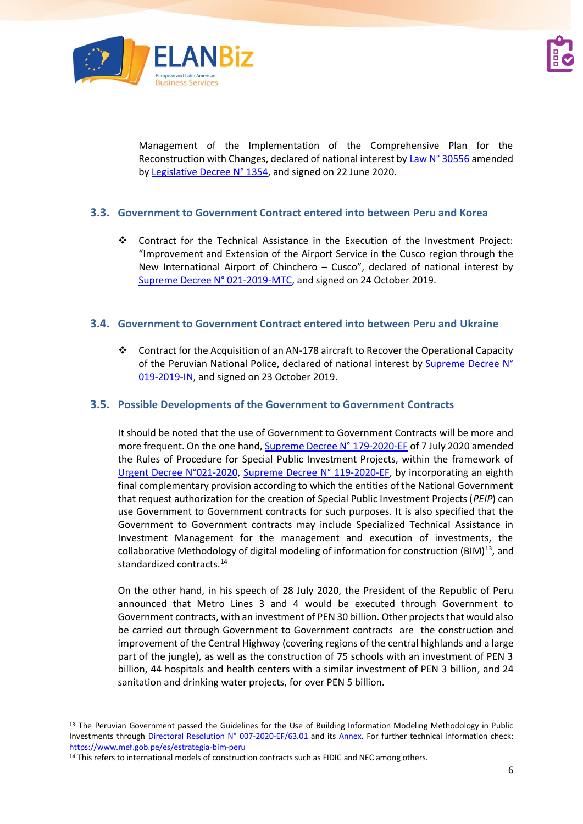

Management of the Implementation of the Comprehensive Plan for the Reconstruction with Changes, declared of national interest by Law [N° 30556](https://busquedas.elperuano.pe/download/url/ley-que-aprueba-disposiciones-de-caracter-extraordinario-par-ley-n-30556-1514994-1) amended by [Legislative Decree](file:///C:/Users/USUARIO/Downloads/3.-Decreto-Legislativo-1354%20(1).pdf) N° 1354, and signed on 22 June 2020.

### **3.3. Government to Government Contract entered into between Peru and Korea**

❖ Contract for the Technical Assistance in the Execution of the Investment Project: "Improvement and Extension of the Airport Service in the Cusco region through the New International Airport of Chinchero – Cusco", declared of national interest by Supreme Decree [N° 021-2019-MTC,](https://cdn.www.gob.pe/uploads/document/file/376836/DS_021-2019-MTC.pdf) and signed on 24 October 2019.

#### **3.4. Government to Government Contract entered into between Peru and Ukraine**

❖ Contract for the Acquisition of an AN-178 aircraft to Recover the Operational Capacity of the Peruvian National Police, declared of national interest by [Supreme Decree](https://cdn.www.gob.pe/uploads/document/file/392722/D.S._N__019-2019-IN__Declaran_de_interes_nacional_el_Objeto_de_Adquisici%C3%B3n_de_Aeronaves_de_gran_envergadura_para_recuperar_capacidad_operativa_de_PNP_.pdf) N° [019-2019-IN,](https://cdn.www.gob.pe/uploads/document/file/392722/D.S._N__019-2019-IN__Declaran_de_interes_nacional_el_Objeto_de_Adquisici%C3%B3n_de_Aeronaves_de_gran_envergadura_para_recuperar_capacidad_operativa_de_PNP_.pdf) and signed on 23 October 2019.

#### **3.5. Possible Developments of the Government to Government Contracts**

It should be noted that the use of Government to Government Contracts will be more and more frequent. On the one hand, **Supreme Decree N° 179-2020-EF** of 7 July 2020 amended the Rules of Procedure for Special Public Investment Projects, within the framework of [Urgent Decree](https://busquedas.elperuano.pe/normaslegales/decreto-de-urgencia-que-establece-el-modelo-de-ejecucion-de-decreto-de-urgencia-n-021-2020-1848882-5/) N°021-2020, [Supreme Decree](https://www.gob.pe/institucion/mef/normas-legales/584302-119-2020-ef) N° 119-2020-EF, by incorporating an eighth final complementary provision according to which the entities of the National Government that request authorization for the creation of Special Public Investment Projects (*PEIP*) can use Government to Government contracts for such purposes. It is also specified that the Government to Government contracts may include Specialized Technical Assistance in Investment Management for the management and execution of investments, the collaborative Methodology of digital modeling of information for construction (BIM)<sup>13</sup>, and standardized contracts.<sup>14</sup>

On the other hand, in his speech of 28 July 2020, the President of the Republic of Peru announced that Metro Lines 3 and 4 would be executed through Government to Government contracts, with an investment of PEN 30 billion. Other projects that would also be carried out through Government to Government contracts are the construction and improvement of the Central Highway (covering regions of the central highlands and a large part of the jungle), as well as the construction of 75 schools with an investment of PEN 3 billion, 44 hospitals and health centers with a similar investment of PEN 3 billion, and 24 sanitation and drinking water projects, for over PEN 5 billion.

<sup>&</sup>lt;sup>13</sup> The Peruvian Government passed the Guidelines for the Use of Building Information Modeling Methodology in Public Investments through [Directoral Resolution N° 007-2020-EF/63.01](https://cdn.www.gob.pe/uploads/document/file/1221806/RD007_2020EF6301.pdf) and its [Annex.](file:///C:/Users/RGB%20AVOCATS/AppData/Local/Microsoft/Windows/INetCache/Content.Outlook/R05V40RH/Annexo) For further technical information check: <https://www.mef.gob.pe/es/estrategia-bim-peru>

<sup>&</sup>lt;sup>14</sup> This refers to international models of construction contracts such as FIDIC and NEC among others.